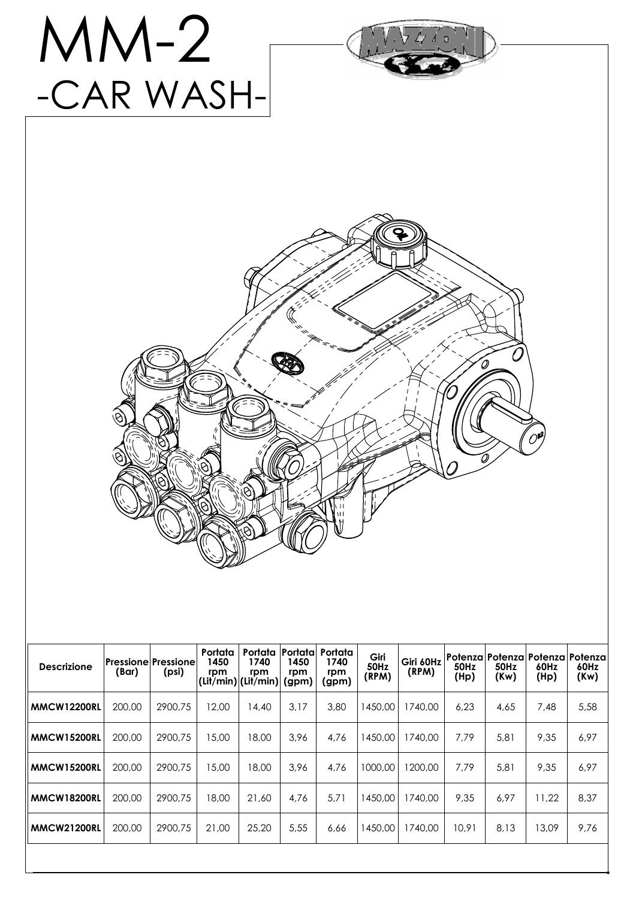

| <b>Descrizione</b> | (Bar)  | Pressione Pressione I<br>(psi) | Portata<br>1450<br>rpm<br>(Lit/min) (Lit/min) (gpm) | Portata<br>1740<br>rpm | Portata <br>1450<br>rpm | Portata<br>1740<br>rpm<br>(gpm) | Giri<br>50Hz<br>(RPM) | Giri 60Hz<br>(RPM) | Potenza<br>50Hz<br>(Hp) | Potenza<br><b>50Hz</b><br>(Kw) | Potenza Potenza<br>60Hz<br>(Hp) | 60Hz<br>(Kw) |
|--------------------|--------|--------------------------------|-----------------------------------------------------|------------------------|-------------------------|---------------------------------|-----------------------|--------------------|-------------------------|--------------------------------|---------------------------------|--------------|
| <b>MMCW12200RL</b> | 200,00 | 2900.75                        | 12,00                                               | 14,40                  | 3,17                    | 3,80                            | 1450,00               | 1740.00            | 6,23                    | 4,65                           | 7,48                            | 5,58         |
| <b>MMCW15200RL</b> | 200,00 | 2900.75                        | 15,00                                               | 18,00                  | 3,96                    | 4,76                            | 1450,00               | 1740.00            | 7,79                    | 5,81                           | 9,35                            | 6,97         |
| <b>MMCW15200RL</b> | 200,00 | 2900.75                        | 15,00                                               | 18,00                  | 3.96                    | 4.76                            | 1000,00               | 1200.00            | 7.79                    | 5,81                           | 9,35                            | 6,97         |
| MMCW18200RL        | 200,00 | 2900.75                        | 18.00                                               | 21.60                  | 4.76                    | 5.71                            | 1450,00               | 1740.00            | 9,35                    | 6.97                           | 11.22                           | 8,37         |
| <b>MMCW21200RL</b> | 200,00 | 2900.75                        | 21.00                                               | 25,20                  | 5,55                    | 6,66                            | 1450,00               | 1740.00            | 10,91                   | 8,13                           | 13,09                           | 9,76         |
|                    |        |                                |                                                     |                        |                         |                                 |                       |                    |                         |                                |                                 |              |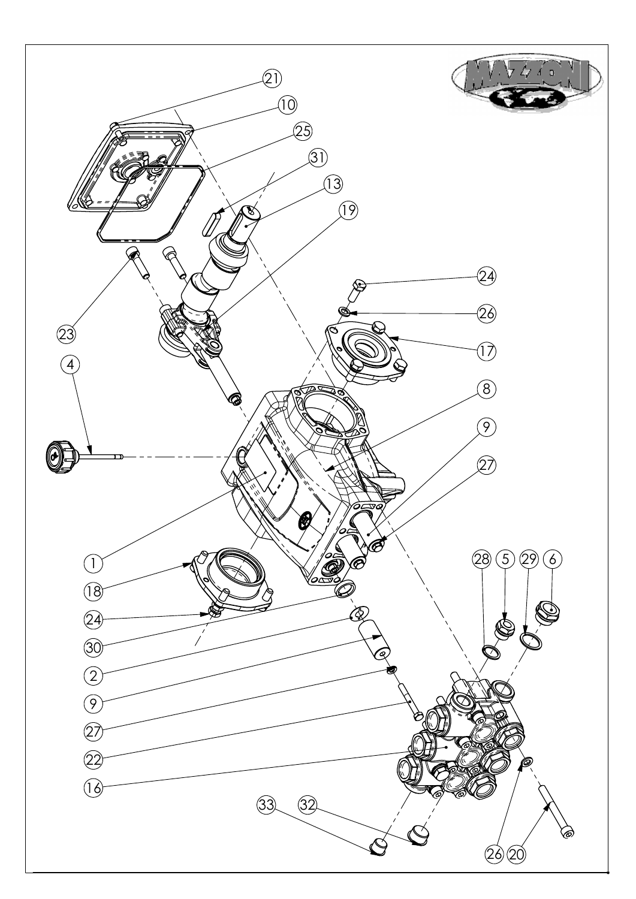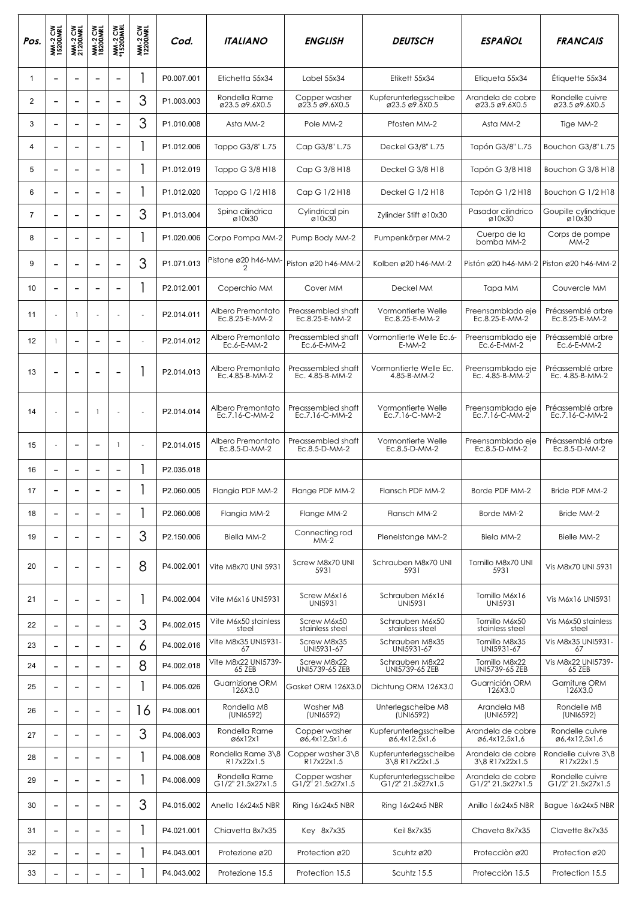| Pos.           | <b>MM-2 CW</b><br>15200MRL | MM-2 CW<br>21200MRL      | <b>MM-2 CW</b><br>18200MRL | <b>MM-2 CW</b><br>*15200MRL | <b>MM-2 CW</b><br>12200MRL | Cod.       | <b>ITALIANO</b>                         | <b>ENGLISH</b>                         | <i><b>DEUTSCH</b></i>                       | <b>ESPAÑOL</b>                            | <b>FRANCAIS</b>                                  |
|----------------|----------------------------|--------------------------|----------------------------|-----------------------------|----------------------------|------------|-----------------------------------------|----------------------------------------|---------------------------------------------|-------------------------------------------|--------------------------------------------------|
| 1              |                            | $\overline{\phantom{0}}$ | $\overline{\phantom{0}}$   | $\qquad \qquad -$           |                            | P0.007.001 | Etichetta 55x34                         | Label 55x34                            | Etikett 55x34                               | Etiqueta 55x34                            | Étiquette 55x34                                  |
| $\overline{2}$ |                            | $\overline{\phantom{0}}$ | $\qquad \qquad -$          | $\qquad \qquad -$           | 3                          | P1.003.003 | Rondella Rame<br>ø23.5 ø9.6X0.5         | Copper washer<br>ø23.5 ø9.6X0.5        | Kupferunterlegsscheibe<br>ø23.5 ø9.6X0.5    | Arandela de cobre<br>Ø23.5 Ø9.6X0.5       | Rondelle cuivre<br>Ø23.5 Ø9.6X0.5                |
| 3              | $\overline{a}$             | $\overline{\phantom{0}}$ | $\qquad \qquad -$          | $\qquad \qquad -$           | 3                          | P1.010.008 | Asta MM-2                               | Pole MM-2                              | Pfosten MM-2                                | Asta MM-2                                 | Tige MM-2                                        |
| 4              |                            |                          | $\overline{\phantom{0}}$   | ۳                           |                            | P1.012.006 | Tappo G3/8" L.75                        | Cap G3/8" L.75                         | Deckel G3/8" L.75                           | Tapón G3/8" L.75                          | Bouchon G3/8" L.75                               |
| 5              |                            | $\overline{\phantom{0}}$ | $\qquad \qquad -$          | $\qquad \qquad -$           |                            | P1.012.019 | Tappo G 3/8 H18                         | Cap G 3/8 H18                          | Deckel G 3/8 H18                            | Tapón G 3/8 H18                           | Bouchon G 3/8 H18                                |
| 6              |                            |                          | $\overline{\phantom{0}}$   | ۰                           |                            | P1.012.020 | Tappo G 1/2 H18                         | Cap G 1/2 H18                          | Deckel G 1/2 H18                            | Tapón G 1/2 H18                           | Bouchon G 1/2 H18                                |
| $\overline{7}$ | ۰                          | $\qquad \qquad -$        | $\qquad \qquad -$          | $\qquad \qquad -$           | 3                          | P1.013.004 | Spina cilindrica<br>$\varnothing$ 10x30 | Cylindrical pin<br>$\varnothing$ 10x30 | Zylinder Stift ø 10x30                      | Pasador cilindrico<br>$\varnothing$ 10x30 | Goupille cylindrique<br>$\varphi$ 10 $\times$ 30 |
| 8              |                            | $\overline{\phantom{0}}$ | $\overline{\phantom{0}}$   | $\qquad \qquad -$           |                            | P1.020.006 | Corpo Pompa MM-2                        | Pump Body MM-2                         | Pumpenkörper MM-2                           | Cuerpo de la<br>bomba MM-2                | Corps de pompe<br>$MM-2$                         |
| 9              |                            | $\overline{\phantom{a}}$ | $\overline{\phantom{a}}$   | $\overline{a}$              | 3                          | P1.071.013 | Pistone ø20 h46-MM-<br>2                | Piston ø20 h46-MM-2                    | Kolben ø20 h46-MM-2                         | Pistón ø20 h46-MM-2 l                     | Piston ø20 h46-MM-2                              |
| 10             |                            | $\overline{\phantom{0}}$ | $\overline{\phantom{0}}$   | ۰                           |                            | P2.012.001 | Coperchio MM                            | Cover MM                               | Deckel MM                                   | Tapa MM                                   | Couvercle MM                                     |
| 11             |                            | $\overline{1}$           | $\sim$                     |                             |                            | P2.014.011 | Albero Premontato<br>Ec.8.25-E-MM-2     | Preassembled shaft<br>Ec.8.25-E-MM-2   | Vormontierte Welle<br>Ec.8.25-E-MM-2        | Preensamblado eje<br>Ec.8.25-E-MM-2       | Préassemblé arbre<br>Ec.8.25-E-MM-2              |
| 12             | $\mathbf{1}$               | $\overline{\phantom{a}}$ | $\qquad \qquad -$          | $\qquad \qquad -$           | $\overline{a}$             | P2.014.012 | Albero Premontato<br>Ec.6-E-MM-2        | Preassembled shaft<br>Ec.6-E-MM-2      | Vormontierte Welle Ec.6-<br>$E-MM-2$        | Preensamblado eje<br>Ec.6-E-MM-2          | Préassemblé arbre<br>Ec.6-E-MM-2                 |
| 13             |                            |                          | -                          |                             |                            | P2.014.013 | Albero Premontato<br>Ec.4.85-B-MM-2     | Preassembled shaft<br>Ec. 4.85-B-MM-2  | Vormontierte Welle Ec.<br>4.85-B-MM-2       | Preensamblado eje<br>Ec. 4.85-B-MM-2      | Préassemblé arbre<br>Ec. 4.85-B-MM-2             |
| 14             |                            | $\overline{\phantom{0}}$ | -1                         |                             |                            | P2.014.014 | Albero Premontato<br>Ec.7.16-C-MM-2     | Preassembled shaft<br>Ec.7.16-C-MM-2   | Vormontierte Welle<br>Ec.7.16-C-MM-2        | Preensamblado eje<br>Ec.7.16-C-MM-2       | Préassemblé arbre<br>Ec.7.16-C-MM-2              |
| 15             |                            | $\overline{\phantom{0}}$ | $\qquad \qquad$            |                             |                            | P2.014.015 | Albero Premontato<br>Ec.8.5-D-MM-2      | Preassembled shaft<br>Ec.8.5-D-MM-2    | Vormontierte Welle<br>Ec.8.5-D-MM-2         | Preensamblado eje<br>Ec.8.5-D-MM-2        | Préassemblé arbre<br>Ec.8.5-D-MM-2               |
| 16             |                            | $\overline{\phantom{0}}$ | $\qquad \qquad -$          | $\qquad \qquad -$           |                            | P2.035.018 |                                         |                                        |                                             |                                           |                                                  |
| 17             |                            |                          |                            |                             |                            | P2.060.005 | Flangia PDF MM-2                        | Flange PDF MM-2                        | Flansch PDF MM-2                            | Borde PDF MM-2                            | <b>Bride PDF MM-2</b>                            |
| 18             |                            |                          | $\qquad \qquad -$          | ۰                           |                            | P2.060.006 | Flangia MM-2                            | Flange MM-2                            | Flansch MM-2                                | Borde MM-2                                | Bride MM-2                                       |
| 19             |                            | $\qquad \qquad -$        | $\qquad \qquad -$          | $\qquad \qquad -$           | 3                          | P2.150.006 | Biella MM-2                             | Connecting rod<br>MM-2                 | Plenelstange MM-2                           | Biela MM-2                                | Bielle MM-2                                      |
| 20             | ۰                          | $\qquad \qquad -$        | $\overline{\phantom{a}}$   | $\overline{\phantom{a}}$    | 8                          | P4.002.001 | Vite M8x70 UNI 5931                     | Screw M8x70 UNI<br>5931                | Schrauben M8x70 UNI<br>5931                 | Tornillo M8x70 UNI<br>5931                | Vis M8x70 UNI 5931                               |
| 21             |                            | $\overline{\phantom{0}}$ | $\overline{\phantom{0}}$   | $\qquad \qquad -$           |                            | P4.002.004 | Vite M6x16 UNI5931                      | Screw M6x16<br>UNI5931                 | Schrauben M6x16<br><b>UNI5931</b>           | Tornillo M6x16<br><b>UNI5931</b>          | Vis M6x16 UNI5931                                |
| 22             |                            | $\overline{\phantom{a}}$ | $\overline{\phantom{a}}$   | $\overline{\phantom{0}}$    | 3                          | P4.002.015 | Vite M6x50 stainless<br>steel           | Screw M6x50<br>stainless steel         | Schrauben M6x50<br>stainless steel          | Tornillo M6x50<br>stainless steel         | Vis M6x50 stainless<br>steel                     |
| 23             |                            |                          | $\overline{\phantom{0}}$   | $\qquad \qquad -$           | 6                          | P4.002.016 | Vite M8x35 UNI5931-<br>67               | Screw M8x35<br>UNI5931-67              | Schrauben M8x35<br>UNI5931-67               | Tornillo M8x35<br>UNI5931-67              | Vis M8x35 UNI5931-<br>67                         |
| 24             |                            | $\overline{\phantom{0}}$ | $\overline{\phantom{0}}$   | $\qquad \qquad -$           | 8                          | P4.002.018 | Vite M8x22 UNI5739-<br>65 ZEB           | Screw M8x22<br>UNI5739-65 ZEB          | Schrauben M8x22<br>UNI5739-65 ZEB           | Tornillo M8x22<br>UNI5739-65 ZEB          | Vis M8x22 UNI5739-<br>65 ZEB                     |
| 25             |                            | $\overline{\phantom{0}}$ | $\qquad \qquad -$          | $\qquad \qquad -$           |                            | P4.005.026 | Guarnizione ORM<br>126X3.0              | Gasket ORM 126X3.0                     | Dichtung ORM 126X3.0                        | Guarnición ORM<br>126X3.0                 | Garniture ORM<br>126X3.0                         |
| 26             |                            | $\qquad \qquad -$        | $\qquad \qquad -$          | $\qquad \qquad -$           | 16                         | P4.008.001 | Rondella M8<br>(UNI6592)                | Washer M8<br>(UNI6592)                 | Unterlegscheibe M8<br>(UNI6592)             | Arandela M8<br>(UNI6592)                  | Rondelle M8<br>(UNI6592)                         |
| 27             |                            | $\overline{\phantom{0}}$ | $\qquad \qquad -$          | $\overline{\phantom{0}}$    | 3                          | P4.008.003 | Rondella Rame<br>Ø6x12x1                | Copper washer<br>ø6,4x12,5x1,6         | Kupferunterlegsscheibe<br>ø6,4x12,5x1,6     | Arandela de cobre<br>ø6,4x12,5x1,6        | Rondelle cuivre<br>ø6,4x12,5x1,6                 |
| 28             |                            | $\overline{\phantom{a}}$ | $\overline{\phantom{a}}$   | -                           |                            | P4.008.008 | Rondella Rame 3\8<br>R17x22x1.5         | Copper washer 3\8<br>R17x22x1.5        | Kupferunterlegsscheibe<br>3\8 R17x22x1.5    | Arandela de cobre<br>3\8 R17x22x1.5       | Rondelle cuivre 3\8<br>R17x22x1.5                |
| 29             |                            |                          | $\overline{\phantom{0}}$   | ÷                           |                            | P4.008.009 | Rondella Rame<br>G1/2" 21.5x27x1.5      | Copper washer<br>G1/2" 21.5x27x1.5     | Kupferunterlegsscheibe<br>G1/2" 21.5x27x1.5 | Arandela de cobre<br>G1/2" 21.5x27x1.5    | Rondelle cuivre<br>G1/2" 21.5x27x1.5             |
| 30             |                            | $\overline{\phantom{0}}$ | $\overline{\phantom{0}}$   | $\qquad \qquad -$           | 3                          | P4.015.002 | Anello 16x24x5 NBR                      | Ring 16x24x5 NBR                       | Ring 16x24x5 NBR                            | Anillo 16x24x5 NBR                        | Bague 16x24x5 NBR                                |
| 31             |                            | $\overline{\phantom{0}}$ | $\overline{\phantom{a}}$   | $\overline{\phantom{0}}$    |                            | P4.021.001 | Chiavetta 8x7x35                        | Key 8x7x35                             | Keil 8x7x35                                 | Chaveta 8x7x35                            | Clavette 8x7x35                                  |
| 32             |                            | $\overline{\phantom{0}}$ | $\overline{\phantom{0}}$   | $\qquad \qquad -$           |                            | P4.043.001 | Protezione ø20                          | Protection ø20                         | Scuhtz ø20                                  | Protección ø20                            | Protection ø20                                   |
| 33             |                            |                          | $\qquad \qquad -$          | $\qquad \qquad -$           |                            | P4.043.002 | Protezione 15.5                         | Protection 15.5                        | Scuhtz 15.5                                 | Protección 15.5                           | Protection 15.5                                  |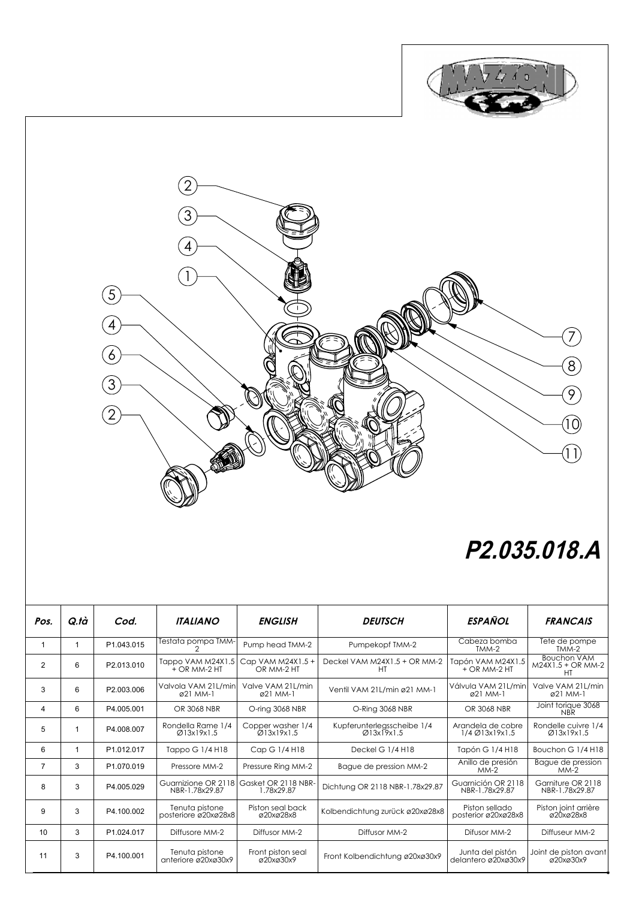



## **P2.035.018.A**

| Pos. | Q.tà | Cod.       | <b>ITALIANO</b>                        | <b>ENGLISH</b>                               | <b>DEUTSCH</b>                           | <b>ESPAÑOL</b>                            | <b>FRANCAIS</b>                                 |
|------|------|------------|----------------------------------------|----------------------------------------------|------------------------------------------|-------------------------------------------|-------------------------------------------------|
|      |      | P1.043.015 | Testata pompa TMM-                     | Pump head TMM-2                              | Pumpekopf TMM-2                          | Cabeza bomba<br>TMM-2                     | Tete de pompe<br>TMM-2                          |
| 2    | 6    | P2.013.010 | Tappo VAM M24X1.5<br>$+$ OR MM-2 HT    | Cap VAM M24X1.5 +<br>OR MM-2 HT              | Deckel VAM M24X1.5 + OR MM-2<br>HT       | Tapón VAM M24X1.5<br>$+$ OR MM-2 HT       | <b>Bouchon VAM</b><br>$M24X1.5 + OR MM-2$<br>HT |
| 3    | 6    | P2.003.006 | Valvola VAM 21 L/min<br>ø21 MM-1       | Valve VAM 21L/min<br>ø21 MM-1                | Ventil VAM 21L/min ø21 MM-1              | Válvula VAM 21 L/min<br>$\varphi$ 21 MM-1 | Valve VAM 21L/min<br>ø21 MM-1                   |
| 4    | 6    | P4.005.001 | <b>OR 3068 NBR</b>                     | O-ring 3068 NBR                              | O-Ring 3068 NBR                          | <b>OR 3068 NBR</b>                        | Joint torique 3068<br><b>NBR</b>                |
| 5    |      | P4.008.007 | Rondella Rame 1/4<br>Ø13x19x1.5        | Copper washer 1/4<br>$\varnothing$ 13x19x1.5 | Kupferunterlegsscheibe 1/4<br>Q13x19x1.5 | Arandela de cobre<br>$1/4$ Ø13x19x1.5     | Rondelle cuivre 1/4<br>Ø13x19x1.5               |
| 6    | -1   | P1.012.017 | Tappo G 1/4 H18                        | Cap G 1/4 H18                                | Deckel G 1/4 H18                         | Tapón G 1/4 H18                           | Bouchon G 1/4 H18                               |
| 7    | 3    | P1.070.019 | Pressore MM-2                          | Pressure Ring MM-2                           | Bague de pression MM-2                   | Anillo de presión<br>$MM-2$               | Bague de pression<br>$MM-2$                     |
| 8    | 3    | P4.005.029 | Guarnizione OR 2118<br>NBR-1.78x29.87  | Gasket OR 2118 NBR-<br>1.78x29.87            | Dichtung OR 2118 NBR-1.78x29.87          | Guarnición OR 2118<br>NBR-1.78x29.87      | Garniture OR 2118<br>NBR-1.78x29.87             |
| 9    | 3    | P4.100.002 | Tenuta pistone<br>posteriore ø20xø28x8 | Piston seal back<br>ø20xø28x8                | Kolbendichtung zurück ø20xø28x8          | Piston sellado<br>posterior ø20xø28x8     | Piston joint arrière<br>Ø20xØ28x8               |
| 10   | 3    | P1.024.017 | Diffusore MM-2                         | Diffusor MM-2                                | Diffusor MM-2                            | Difusor MM-2                              | Diffuseur MM-2                                  |
| 11   | 3    | P4.100.001 | Tenuta pistone<br>anteriore ø20xø30x9  | Front piston seal<br>Ø20xØ30x9               | Front Kolbendichtung ø20xø30x9           | Junta del pistón<br>delantero ø20xø30x9   | Joint de piston avant<br>Ø20xØ30x9              |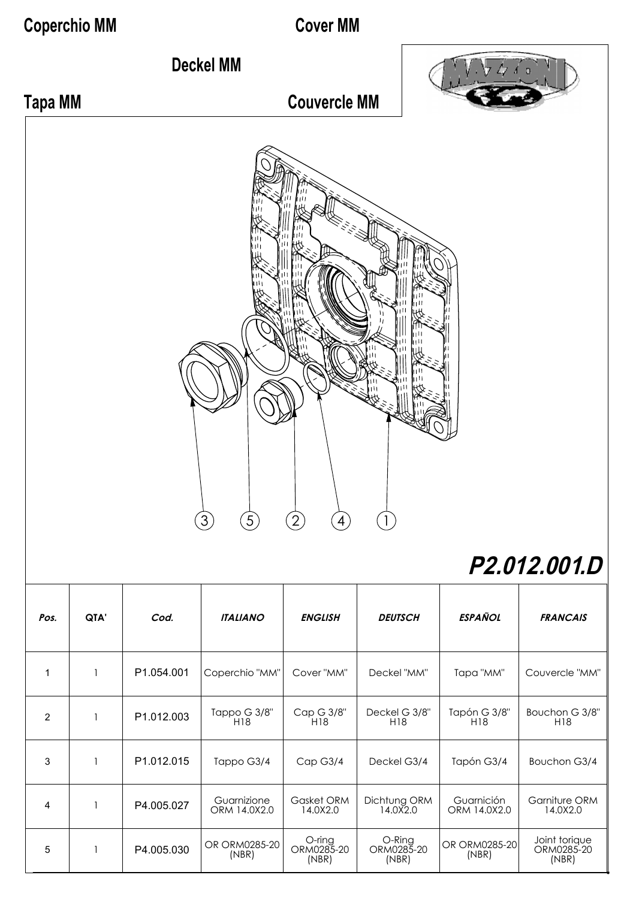

| 2 | P1.012.003             | Tappo G 3/8"<br>H18         | Cap G 3/8"<br>H18             | Deckel G 3/8"<br>H18          | Tapón G 3/8"<br>H18           | Bouchon G 3/8"<br>H18                |
|---|------------------------|-----------------------------|-------------------------------|-------------------------------|-------------------------------|--------------------------------------|
| 3 | P <sub>1.012.015</sub> | Tappo G3/4                  | Cap G3/4                      | Deckel G3/4                   | Tapón G3/4                    | Bouchon G3/4                         |
| 4 | P4.005.027             | Guarnizione<br>ORM 14.0X2.0 | Gasket ORM<br>14.0X2.0        | Dichtung ORM<br>14.0X2.0      | Guarnición<br>ORM 14.0X2.0    | <b>Garniture ORM</b><br>14.0X2.0     |
| 5 | P4.005.030             | OR ORM0285-20<br>(NBR)      | O-ring<br>ORM0285-20<br>(NBR) | O-Ring<br>ORM0285-20<br>(NBR) | <b>OR ORM0285-20</b><br>(NBR) | Joint torique<br>ORM0285-20<br>(NBR) |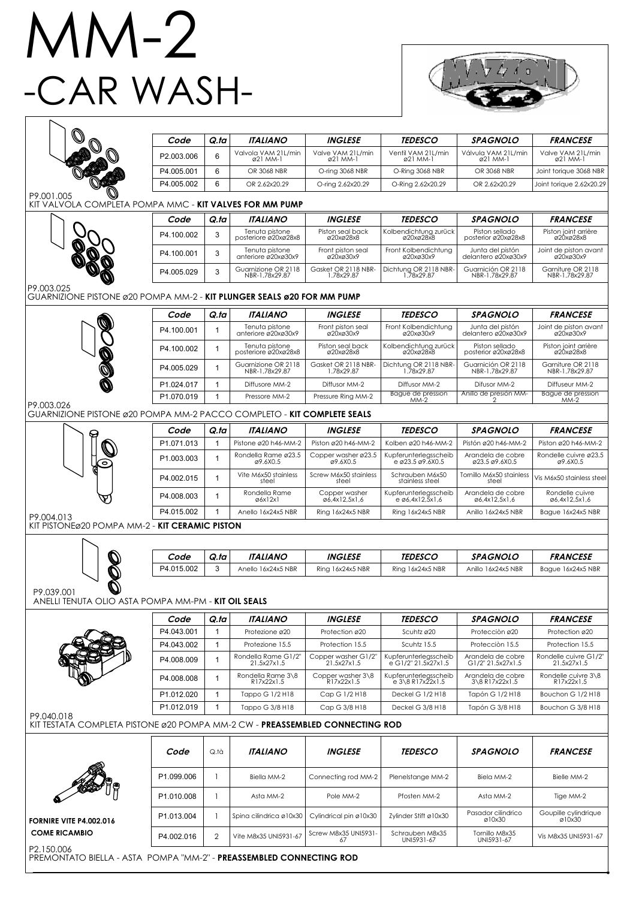## MM-2 -CAR WASH-



|                                                        | Code                                                       | Q.ta         | <b>ITALIANO</b>                                                               | <b>INGLESE</b>                                                                      | <b>TEDESCO</b>                                                | <b>SPAGNOLO</b>                         | <b>FRANCESE</b>                             |
|--------------------------------------------------------|------------------------------------------------------------|--------------|-------------------------------------------------------------------------------|-------------------------------------------------------------------------------------|---------------------------------------------------------------|-----------------------------------------|---------------------------------------------|
|                                                        | P2.003.006                                                 | 6            | Valvola VAM 21L/min<br>ø21 MM-1                                               | Valve VAM 21L/min<br>ø21 MM-1                                                       | Ventil VAM 21L/min<br>ø21 MM-1                                | Válvula VAM 21L/min<br>ø21 MM-1         | Valve VAM 21L/min<br>ø21 MM-1               |
|                                                        | P4.005.001                                                 | 6            | OR 3068 NBR                                                                   | O-ring 3068 NBR                                                                     | O-Ring 3068 NBR                                               | OR 3068 NBR                             | Joint torique 3068 NBR                      |
|                                                        | P4.005.002                                                 | 6            | OR 2.62x20.29                                                                 | O-ring 2.62x20.29                                                                   | O-Ring 2.62x20.29                                             | OR 2.62x20.29                           | Joint torique 2.62x20.29                    |
|                                                        |                                                            |              | KIT VALVOLA COMPLETA POMPA MMC - <b>KIT VALVES FOR MM PUMP</b>                |                                                                                     |                                                               |                                         |                                             |
|                                                        | Code                                                       | Q.ta         | <b>ITALIANO</b>                                                               | <b>INGLESE</b>                                                                      | <b>TEDESCO</b>                                                | <b>SPAGNOLO</b>                         | <b>FRANCESE</b>                             |
|                                                        | P4.100.002                                                 | 3            | Tenuta pistone<br>posteriore ø20xø28x8                                        | Piston seal back<br>ø20xø28x8                                                       | Kolbendichtung zurück<br>Ø20xø28x8                            | Piston sellado<br>posterior ø20xø28x8   | Piston joint arrière<br>ø20xø28x8           |
|                                                        | P4.100.001                                                 | 3            | Tenuta pistone<br>anteriore ø20xø30x9                                         | Front piston seal<br>ø20xø30x9                                                      | Front Kolbendichtung<br>ø20xø30x9                             | Junta del pistón<br>delantero ø20xø30x9 | Joint de piston avant<br>ø20xø30x9          |
|                                                        | P4.005.029                                                 | 3            | Guarnizione OR 2118<br>NBR-1.78x29.87                                         | Gasket OR 2118 NBR-<br>1.78x29.87                                                   | Dichtung OR 2118 NBR-<br>1.78x29.87                           | Guarnición OR 2118<br>NBR-1.78x29.87    | Garniture OR 2118<br>NBR-1.78x29.87         |
|                                                        |                                                            |              | GUARNIZIONE PISTONE ø20 POMPA MM-2 - <b>KIT PLUNGER SEALS ø20 FOR MM PUMP</b> |                                                                                     |                                                               |                                         |                                             |
|                                                        | Code                                                       | Q.ta         | <b>ITALIANO</b>                                                               | <b>INGLESE</b>                                                                      | <b>TEDESCO</b>                                                | SPAGNOLO                                | <b>FRANCESE</b>                             |
|                                                        | P4.100.001                                                 | 1            | Tenuta pistone<br>anteriore ø20xø30x9                                         | Front piston seal<br>ø20xø30x9                                                      | Front Kolbendichtung<br>ø20xø30x9                             | Junta del pistón<br>delantero ø20xø30x9 | Joint de piston avant<br>Ø20xø30x9          |
|                                                        | P4.100.002                                                 | 1            | Tenuta pistone<br>posteriore ø20xø28x8                                        | Piston seal back<br>ø20xø28x8                                                       | Kolbendichtung zurück<br>Ø20xø28x8                            | Piston sellado<br>posterior ø20xø28x8   | Piston joint arrière<br>ø20xø28x8           |
|                                                        | P4.005.029                                                 | $\mathbf{1}$ | Guarnizione OR 2118                                                           | Gasket OR 2118 NBR-                                                                 | Dichtung OR 2118 NBR-<br>1.78x29.87                           | Guarnición OR 2118                      | Garniture OR 2118                           |
|                                                        | P1.024.017                                                 | $\mathbf{1}$ | NBR-1.78x29.87<br>Diffusore MM-2                                              | 1.78x29.87<br>Diffusor MM-2                                                         | Diffusor MM-2                                                 | NBR-1.78x29.87<br>Difusor MM-2          | NBR-1.78x29.87<br>Diffuseur MM-2            |
|                                                        | P1.070.019                                                 | $\mathbf{1}$ | Pressore MM-2                                                                 | Pressure Ring MM-2                                                                  | Bague de pression<br>MM-2                                     | Anillo de presión MM-<br>2              | Bague de pression<br>MM-2                   |
|                                                        |                                                            |              | GUARNIZIONE PISTONE ø20 POMPA MM-2 PACCO COMPLETO - KIT COMPLETE SEALS        |                                                                                     |                                                               |                                         |                                             |
|                                                        | Code                                                       | Q.ta         | <b>ITALIANO</b>                                                               | <b>INGLESE</b>                                                                      | <b>TEDESCO</b>                                                | SPAGNOLO                                | <b>FRANCESE</b>                             |
|                                                        | P <sub>1.071.013</sub>                                     | $\mathbf{1}$ | Pistone ø20 h46-MM-2                                                          | Piston ø20 h46-MM-2                                                                 | Kolben ø20 h46-MM-2                                           | Pistón ø20 h46-MM-2                     | Piston ø20 h46-MM-2                         |
|                                                        | P1.003.003                                                 | $\mathbf{1}$ | Rondella Rame ø23.5<br>ø9.6X0.5                                               | Copper washer ø23.5<br>ø9.6X0.5                                                     | Kupferunterlegsscheib<br>$e$ $\varphi$ 23.5 $\varphi$ 9.6X0.5 | Arandela de cobre<br>Ø23.5 Ø9.6X0.5     | Rondelle cuivre ø23.5<br>ø9.6X0.5           |
|                                                        | P4.002.015                                                 | $\mathbf{1}$ | Vite M6x50 stainless<br>steel                                                 | Screw M6x50 stainless<br>steel                                                      | Schrauben M6x50<br>stainless steel                            | Tornillo M6x50 stainless<br>steel       | Vis M6x50 stainless stee                    |
|                                                        | P4.008.003                                                 | 1            | Rondella Rame<br>Ø6x12x1                                                      | Copper washer<br>ø6,4x12,5x1,6                                                      | Kupferunterlegsscheib<br>e ø6,4x12,5x1,6                      | Arandela de cobre<br>Ø6.4x12.5x1.6      | Rondelle cuivre<br>Ø6,4x12,5x1,6            |
|                                                        |                                                            |              |                                                                               |                                                                                     |                                                               |                                         |                                             |
|                                                        | P4.015.002                                                 | $\mathbf{1}$ | Anello 16x24x5 NBR                                                            | Ring 16x24x5 NBR                                                                    | Ring 16x24x5 NBR                                              | Anillo 16x24x5 NBR                      | Bague 16x24x5 NBR                           |
|                                                        | KIT PISTONEØ20 POMPA MM-2 - <b>KIT CERAMIC PISTON</b>      |              |                                                                               |                                                                                     |                                                               |                                         |                                             |
|                                                        |                                                            |              |                                                                               |                                                                                     |                                                               |                                         |                                             |
|                                                        | Code                                                       | Q.ta         | <b>ITALIANO</b>                                                               | <b>INGLESE</b>                                                                      | <b>TEDESCO</b>                                                | SPAGNOLO                                | <b>FRANCESE</b>                             |
|                                                        | P4.015.002                                                 | 3            | Anello 16x24x5 NBR                                                            | Ring 16x24x5 NBR                                                                    | Ring 16x24x5 NBR                                              | Anillo 16x24x5 NBR                      | Bague 16x24x5 NBR                           |
|                                                        |                                                            |              |                                                                               |                                                                                     |                                                               |                                         |                                             |
|                                                        | anelli tenuta olio asta pompa mm-pm - <b>kit oil seals</b> |              |                                                                               |                                                                                     |                                                               |                                         |                                             |
|                                                        | Code<br>P4.043.001                                         | Q.ta<br>1    | <i><b>ITALIANO</b></i><br>Protezione ø20                                      | <i><b>INGLESE</b></i><br>Protection ø20                                             | <i><b>TEDESCO</b></i><br>Scuhtz ø20                           | SPAGNOLO<br>Protección ø20              | <b>FRANCESE</b><br>Protection ø20           |
|                                                        | P4.043.002                                                 | 1            | Protezione 15.5                                                               | Protection 15.5                                                                     | Scuhtz 15.5                                                   | Protección 15.5                         | Protection 15.5                             |
|                                                        | P4.008.009                                                 | $\mathbf{1}$ | Rondella Rame G1/2"<br>21.5x27x1.5                                            | Copper washer G1/2'<br>21.5x27x1.5                                                  | Kupferunterlegsscheib<br>e G1/2" 21.5x27x1.5                  | Arandela de cobre<br>G1/2" 21.5x27x1.5  | Rondelle cuivre G1/2"<br>21.5x27x1.5        |
|                                                        | P4.008.008                                                 | $\mathbf{1}$ | Rondella Rame 3\8                                                             | Copper washer 3\8                                                                   | Kupferunterlegsscheib                                         | Arandela de cobre                       | Rondelle cuivre 3\8                         |
|                                                        | P <sub>1.012.020</sub>                                     | 1            | R17x22x1.5<br>Tappo G 1/2 H18                                                 | R17x22x1.5<br>Cap G 1/2 H18                                                         | e 3\8 R17x22x1.5<br>Deckel G 1/2 H18                          | 3\8 R17x22x1.5<br>Tapón G 1/2 H18       | R17x22x1.5<br>Bouchon G 1/2 H18             |
|                                                        | P1.012.019                                                 | $\mathbf{1}$ | Tappo G 3/8 H18                                                               | Cap G 3/8 H18                                                                       | Deckel G 3/8 H18                                              | Tapón G 3/8 H18                         | Bouchon G 3/8 H18                           |
|                                                        |                                                            |              |                                                                               | kit testata completa pistone ø20 pompa mm-2 CW - <b>preassembled connecting rod</b> |                                                               |                                         |                                             |
|                                                        | Code                                                       | Q.tà         | ITALIANO                                                                      | <i><b>INGLESE</b></i>                                                               | <i><b>TEDESCO</b></i>                                         | SPAGNOLO                                | <b>FRANCESE</b>                             |
|                                                        | P <sub>1.099.006</sub>                                     | -1           | Biella MM-2                                                                   | Connecting rod MM-2                                                                 | Plenelstange MM-2                                             | Biela MM-2                              | Bielle MM-2                                 |
|                                                        | P <sub>1.010.008</sub>                                     | -1           | Asta MM-2                                                                     | Pole MM-2                                                                           | Pfosten MM-2                                                  | Asta MM-2                               | Tige MM-2                                   |
|                                                        | P <sub>1.013.004</sub>                                     | -1           | Spina cilindrica ø10x30                                                       | Cylindrical pin ø10x30                                                              | Zylinder Stift ø 10x30                                        | Pasador cilindrico<br>ø10x30            | Goupille cylindrique<br>$\varnothing$ 10x30 |
| <b>FORNIRE VITE P4.002.016</b><br><b>COME RICAMBIO</b> | P4.002.016                                                 | 2            | Vite M8x35 UNI5931-67                                                         | Screw M8x35 UNI5931-<br>67                                                          | Schrauben M8x35<br>UNI5931-67                                 | Tornillo M8x35<br>UNI5931-67            | Vis M8x35 UNI5931-67                        |